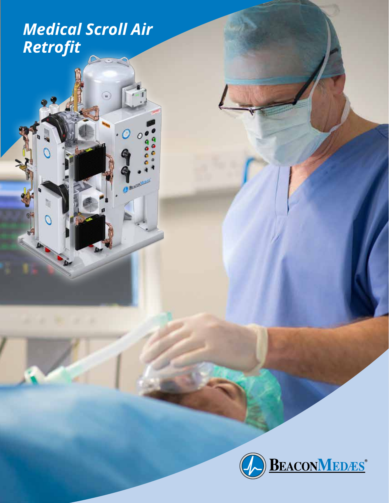*Medical Scroll Air Retrofit*

 $\frac{1}{2}$ 

 $\widehat{\bullet}$ 

0

C. Busmitt

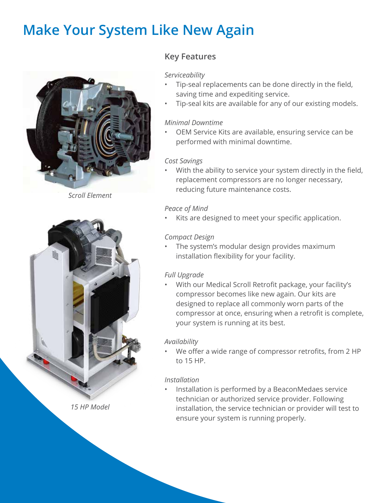## **Make Your System Like New Again**



*Scroll Element*



## **Key Features**

#### *Serviceability*

- Tip-seal replacements can be done directly in the field, saving time and expediting service.
- Tip-seal kits are available for any of our existing models.

#### *Minimal Downtime*

• OEM Service Kits are available, ensuring service can be performed with minimal downtime.

#### *Cost Savings*

With the ability to service your system directly in the field, replacement compressors are no longer necessary, reducing future maintenance costs.

#### *Peace of Mind*

Kits are designed to meet your specific application.

## *Compact Design*

• The system's modular design provides maximum installation flexibility for your facility.

## *Full Upgrade*

• With our Medical Scroll Retrofit package, your facility's compressor becomes like new again. Our kits are designed to replace all commonly worn parts of the compressor at once, ensuring when a retrofit is complete, your system is running at its best.

## *Availability*

We offer a wide range of compressor retrofits, from 2 HP to 15 HP.

## *Installation*

• Installation is performed by a BeaconMedaes service technician or authorized service provider. Following installation, the service technician or provider will test to ensure your system is running properly.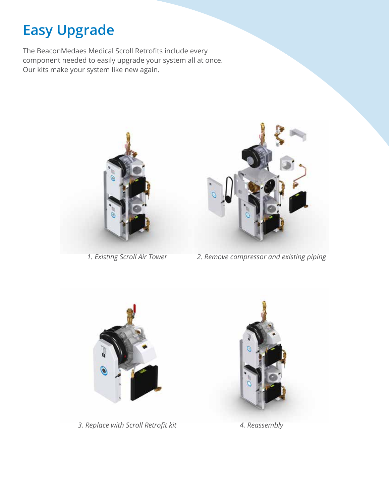# **Easy Upgrade**

The BeaconMedaes Medical Scroll Retrofits include every component needed to easily upgrade your system all at once. Our kits make your system like new again.





*1. Existing Scroll Air Tower 2. Remove compressor and existing piping*



*3. Replace with Scroll Retrofit kit 4. Reassembly*